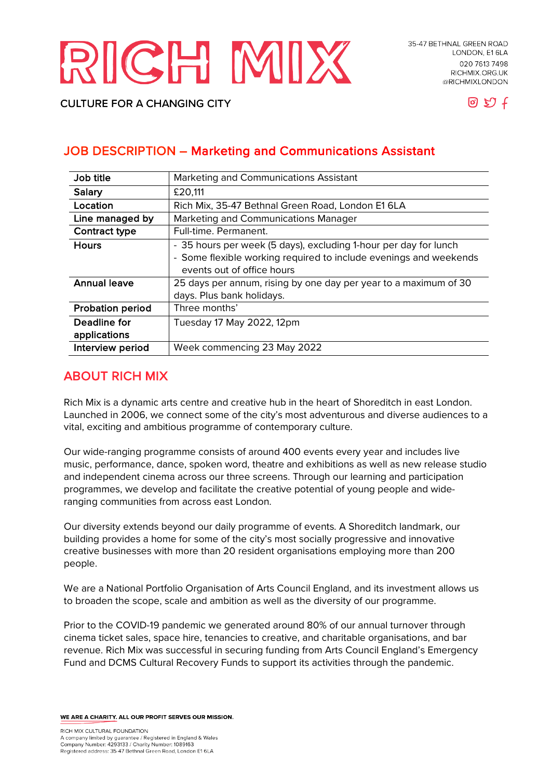# RICH MIX

**CULTURE FOR A CHANGING CITY** 



# JOB DESCRIPTION – Marketing and Communications Assistant

| Job title               | Marketing and Communications Assistant                            |
|-------------------------|-------------------------------------------------------------------|
| <b>Salary</b>           | £20,111                                                           |
| Location                | Rich Mix, 35-47 Bethnal Green Road, London E1 6LA                 |
| Line managed by         | Marketing and Communications Manager                              |
| Contract type           | Full-time. Permanent.                                             |
| <b>Hours</b>            | - 35 hours per week (5 days), excluding 1-hour per day for lunch  |
|                         | - Some flexible working required to include evenings and weekends |
|                         | events out of office hours                                        |
| <b>Annual leave</b>     | 25 days per annum, rising by one day per year to a maximum of 30  |
|                         | days. Plus bank holidays.                                         |
| <b>Probation period</b> | Three months'                                                     |
| Deadline for            | Tuesday 17 May 2022, 12pm                                         |
| applications            |                                                                   |
| Interview period        | Week commencing 23 May 2022                                       |

# ABOUT RICH MIX

Rich Mix is a dynamic arts centre and creative hub in the heart of Shoreditch in east London. Launched in 2006, we connect some of the city's most adventurous and diverse audiences to a vital, exciting and ambitious programme of contemporary culture.

Our wide-ranging programme consists of around 400 events every year and includes live music, performance, dance, spoken word, theatre and exhibitions as well as new release studio and independent cinema across our three screens. Through our learning and participation programmes, we develop and facilitate the creative potential of young people and wideranging communities from across east London.

Our diversity extends beyond our daily programme of events. A Shoreditch landmark, our building provides a home for some of the city's most socially progressive and innovative creative businesses with more than 20 resident organisations employing more than 200 people.

We are a National Portfolio Organisation of Arts Council England, and its investment allows us to broaden the scope, scale and ambition as well as the diversity of our programme.

Prior to the COVID-19 pandemic we generated around 80% of our annual turnover through cinema ticket sales, space hire, tenancies to creative, and charitable organisations, and bar revenue. Rich Mix was successful in securing funding from Arts Council England's Emergency Fund and DCMS Cultural Recovery Funds to support its activities through the pandemic.

WE ARE A CHARITY. ALL OUR PROFIT SERVES OUR MISSION.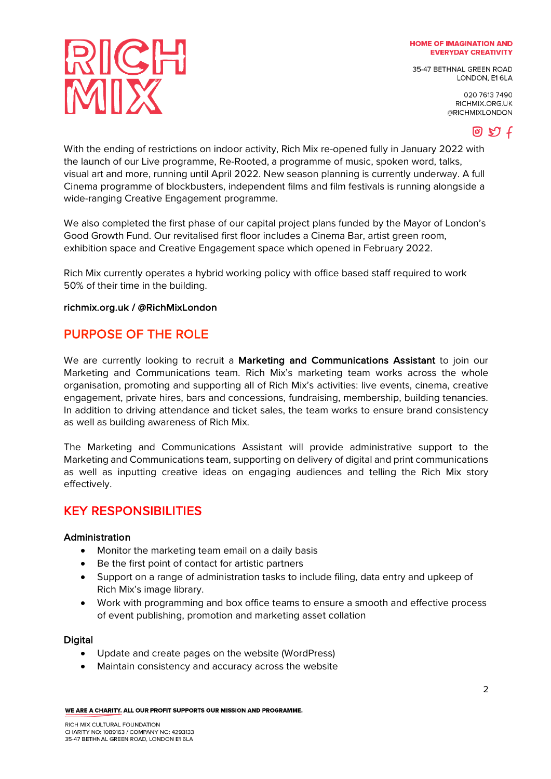35-47 BETHNAL GREEN ROAD LONDON, E16LA

> 020 7613 7490 RICHMIX.ORG.UK @RICHMIXLONDON



With the ending of restrictions on indoor activity, Rich Mix re-opened fully in January 2022 with the launch of our Live programme, Re-Rooted, a programme of music, spoken word, talks, visual art and more, running until April 2022. New season planning is currently underway. A full Cinema programme of blockbusters, independent films and film festivals is running alongside a wide-ranging Creative Engagement programme.

We also completed the first phase of our capital project plans funded by the Mayor of London's Good Growth Fund. Our revitalised first floor includes a Cinema Bar, artist green room, exhibition space and Creative Engagement space which opened in February 2022.

Rich Mix currently operates a hybrid working policy with office based staff required to work 50% of their time in the building.

## richmix.org.uk / @RichMixLondon

RICH

## PURPOSE OF THE ROLE

We are currently looking to recruit a Marketing and Communications Assistant to join our Marketing and Communications team. Rich Mix's marketing team works across the whole organisation, promoting and supporting all of Rich Mix's activities: live events, cinema, creative engagement, private hires, bars and concessions, fundraising, membership, building tenancies. In addition to driving attendance and ticket sales, the team works to ensure brand consistency as well as building awareness of Rich Mix.

The Marketing and Communications Assistant will provide administrative support to the Marketing and Communications team, supporting on delivery of digital and print communications as well as inputting creative ideas on engaging audiences and telling the Rich Mix story effectively.

## KEY RESPONSIBILITIES

#### Administration

- Monitor the marketing team email on a daily basis
- Be the first point of contact for artistic partners
- Support on a range of administration tasks to include filing, data entry and upkeep of Rich Mix's image library.
- Work with programming and box office teams to ensure a smooth and effective process of event publishing, promotion and marketing asset collation

#### **Digital**

- Update and create pages on the website (WordPress)
- Maintain consistency and accuracy across the website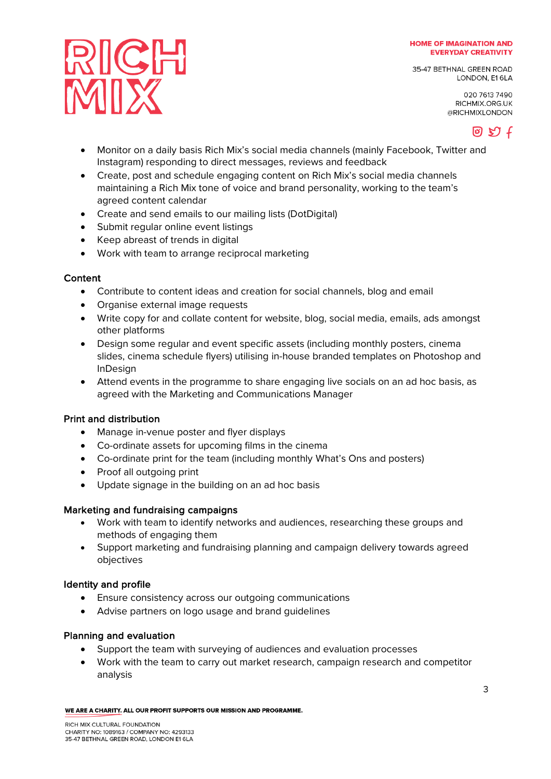35-47 BETHNAL GREEN ROAD LONDON, E16LA

> 020 7613 7490 RICHMIX.ORG.UK @RICHMIXLONDON



- Monitor on a daily basis Rich Mix's social media channels (mainly Facebook, Twitter and Instagram) responding to direct messages, reviews and feedback
- Create, post and schedule engaging content on Rich Mix's social media channels maintaining a Rich Mix tone of voice and brand personality, working to the team's agreed content calendar
- Create and send emails to our mailing lists (DotDigital)
- Submit regular online event listings
- Keep abreast of trends in digital

RICH

• Work with team to arrange reciprocal marketing

## **Content**

- Contribute to content ideas and creation for social channels, blog and email
- Organise external image requests
- Write copy for and collate content for website, blog, social media, emails, ads amongst other platforms
- Design some regular and event specific assets (including monthly posters, cinema slides, cinema schedule flyers) utilising in-house branded templates on Photoshop and InDesign
- Attend events in the programme to share engaging live socials on an ad hoc basis, as agreed with the Marketing and Communications Manager

## Print and distribution

- Manage in-venue poster and flyer displays
- Co-ordinate assets for upcoming films in the cinema
- Co-ordinate print for the team (including monthly What's Ons and posters)
- Proof all outgoing print
- Update signage in the building on an ad hoc basis

#### Marketing and fundraising campaigns

- Work with team to identify networks and audiences, researching these groups and methods of engaging them
- Support marketing and fundraising planning and campaign delivery towards agreed objectives

#### Identity and profile

- Ensure consistency across our outgoing communications
- Advise partners on logo usage and brand guidelines

#### Planning and evaluation

- Support the team with surveying of audiences and evaluation processes
- Work with the team to carry out market research, campaign research and competitor analysis

WE ARE A CHARITY. ALL OUR PROFIT SUPPORTS OUR MISSION AND PROGRAMME.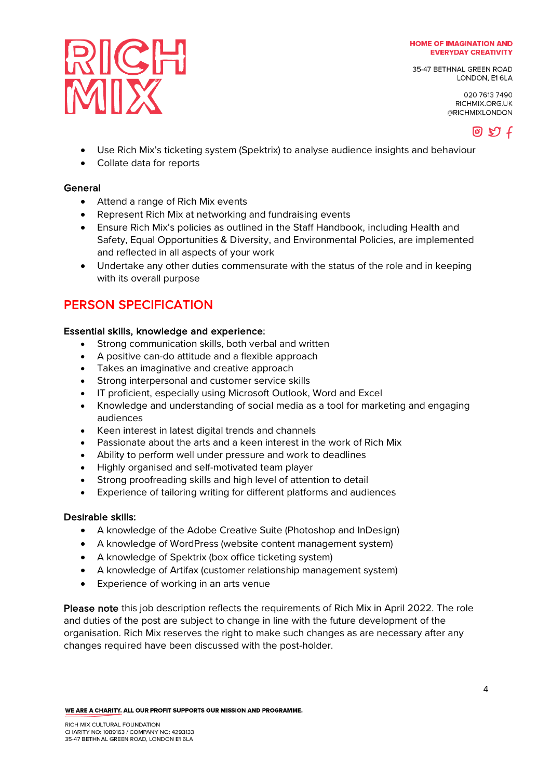35-47 BETHNAL GREEN ROAD LONDON, E16LA

> 020 7613 7490 RICHMIX.ORG.UK @RICHMIXLONDON



- Use Rich Mix's ticketing system (Spektrix) to analyse audience insights and behaviour
- Collate data for reports

RICH

#### General

- Attend a range of Rich Mix events
- Represent Rich Mix at networking and fundraising events
- Ensure Rich Mix's policies as outlined in the Staff Handbook, including Health and Safety, Equal Opportunities & Diversity, and Environmental Policies, are implemented and reflected in all aspects of your work
- Undertake any other duties commensurate with the status of the role and in keeping with its overall purpose

# PERSON SPECIFICATION

## Essential skills, knowledge and experience:

- Strong communication skills, both verbal and written
- A positive can-do attitude and a flexible approach
- Takes an imaginative and creative approach
- Strong interpersonal and customer service skills
- IT proficient, especially using Microsoft Outlook, Word and Excel
- Knowledge and understanding of social media as a tool for marketing and engaging audiences
- Keen interest in latest digital trends and channels
- Passionate about the arts and a keen interest in the work of Rich Mix
- Ability to perform well under pressure and work to deadlines
- Highly organised and self-motivated team player
- Strong proofreading skills and high level of attention to detail
- Experience of tailoring writing for different platforms and audiences

#### Desirable skills:

- A knowledge of the Adobe Creative Suite (Photoshop and InDesign)
- A knowledge of WordPress (website content management system)
- A knowledge of Spektrix (box office ticketing system)
- A knowledge of Artifax (customer relationship management system)
- Experience of working in an arts venue

Please note this job description reflects the requirements of Rich Mix in April 2022. The role and duties of the post are subject to change in line with the future development of the organisation. Rich Mix reserves the right to make such changes as are necessary after any changes required have been discussed with the post-holder.